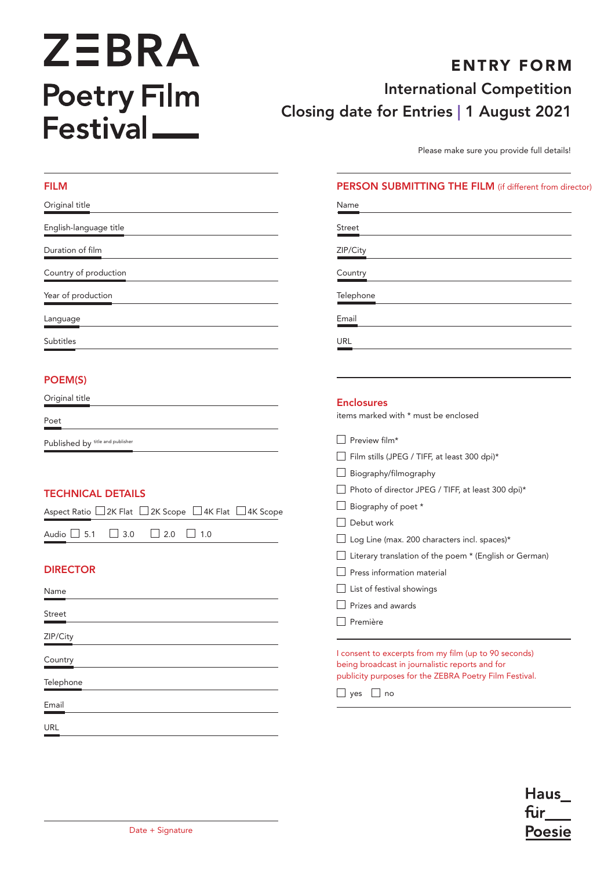# **ZEBRA** Poetry Film<br>Festival

FILM

Telephone

Email

URL

# ENTRY FORM International Competition Closing date for Entries | 1 August 2021

Please make sure you provide full details!

#### PERSON SUBMITTING THE FILM (if different from director)

| Original title                                                             | Name                                                                                                                                                               |
|----------------------------------------------------------------------------|--------------------------------------------------------------------------------------------------------------------------------------------------------------------|
| English-language title                                                     | <b>Street</b>                                                                                                                                                      |
| Duration of film                                                           | ZIP/City                                                                                                                                                           |
| Country of production                                                      | Country                                                                                                                                                            |
| Year of production                                                         | Telephone                                                                                                                                                          |
| Language                                                                   | Email                                                                                                                                                              |
| <b>Subtitles</b>                                                           | URL                                                                                                                                                                |
| POEM(S)                                                                    |                                                                                                                                                                    |
| Original title                                                             | <b>Enclosures</b>                                                                                                                                                  |
| Poet                                                                       | items marked with * must be enclosed                                                                                                                               |
| Published by title and publisher                                           | Preview film*                                                                                                                                                      |
|                                                                            | Film stills (JPEG / TIFF, at least 300 dpi)*                                                                                                                       |
|                                                                            | Biography/filmography                                                                                                                                              |
| <b>TECHNICAL DETAILS</b>                                                   | Photo of director JPEG / TIFF, at least 300 dpi)*                                                                                                                  |
| $\Box$ 2K Scope $\Box$ 4K Flat $\Box$ 4K Scope<br>Aspect Ratio □ 2K Flat [ | Biography of poet *                                                                                                                                                |
|                                                                            | Debut work                                                                                                                                                         |
| Audio $\Box$ 5.1<br>$\Box$<br>2.0<br>$\Box$ 1.0<br>3.0                     | Log Line (max. 200 characters incl. spaces)*                                                                                                                       |
|                                                                            | Literary translation of the poem * (English or German)                                                                                                             |
| <b>DIRECTOR</b>                                                            | Press information material                                                                                                                                         |
| Name                                                                       | List of festival showings                                                                                                                                          |
|                                                                            | Prizes and awards                                                                                                                                                  |
| Street                                                                     | Première                                                                                                                                                           |
| ZIP/City                                                                   |                                                                                                                                                                    |
| Country                                                                    | I consent to excerpts from my film (up to 90 seconds)<br>being broadcast in journalistic reports and for<br>publicity purposes for the ZEBRA Poetry Film Festival. |

 $\Box$  yes  $\Box$  no

**Haus** fur **Poesie**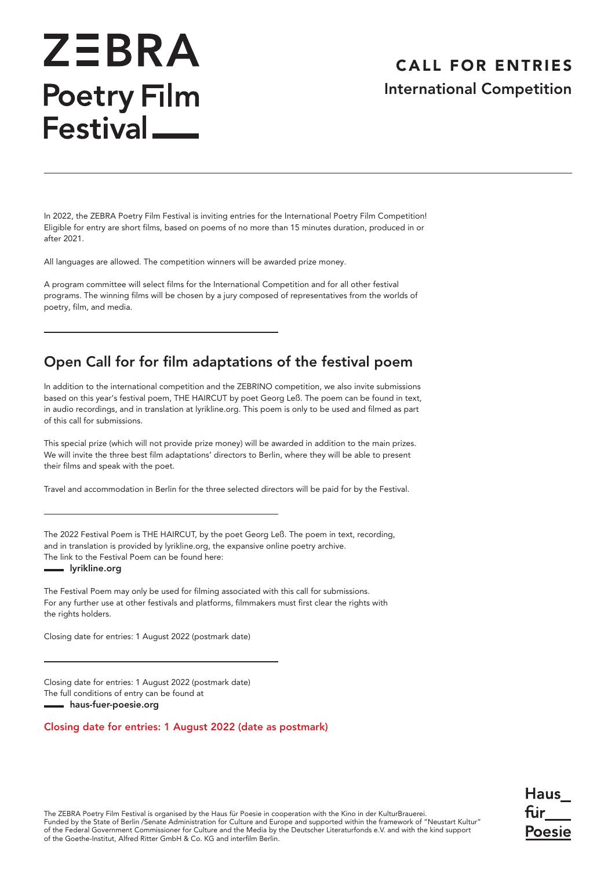# **ZEBRA Poetry Film** Festival<sub>—</sub>

### CALL FOR ENTRIES International Competition

Haus fur

Poesie

In 2022, the ZEBRA Poetry Film Festival is inviting entries for the International Poetry Film Competition! Eligible for entry are short films, based on poems of no more than 15 minutes duration, produced in or after 2021.

All languages are allowed. The competition winners will be awarded prize money.

A program committee will select films for the International Competition and for all other festival programs. The winning films will be chosen by a jury composed of representatives from the worlds of poetry, film, and media.

### Open Call for for film adaptations of the festival poem

In addition to the international competition and the ZEBRINO competition, we also invite submissions based on this year's festival poem, THE HAIRCUT by poet Georg Leß. The poem can be found in text, in audio recordings, and in translation at lyrikline.org. This poem is only to be used and filmed as part of this call for submissions.

This special prize (which will not provide prize money) will be awarded in addition to the main prizes. We will invite the three best film adaptations' directors to Berlin, where they will be able to present their films and speak with the poet.

Travel and accommodation in Berlin for the three selected directors will be paid for by the Festival.

The 2022 Festival Poem is THE HAIRCUT, by the poet Georg Leß. The poem in text, recording, and in translation is provided by lyrikline.org, the expansive online poetry archive. The link to the Festival Poem can be found here:

[lyrikline.org](https://www.lyrikline.org/en/poems/anderkatt-15138)

The Festival Poem may only be used for filming associated with this call for submissions. For any further use at other festivals and platforms, filmmakers must first clear the rights with the rights holders.

Closing date for entries: 1 August 2022 (postmark date)

Closing date for entries: 1 August 2022 (postmark date) The full conditions of entry can be found at [haus-fuer-poesie.org](https://www.haus-fuer-poesie.org/de/zebrapoetryfilmfestival/home-zebra-poetry-film-festival/)

#### Closing date for entries: 1 August 2022 (date as postmark)

The ZEBRA Poetry Film Festival is organised by the Haus für Poesie in cooperation with the Kino in der KulturBrauerei. Funded by the State of Berlin /Senate Administration for Culture and Europe and supported within the framework of "Neustart Kultur" of the Federal Government Commissioner for Culture and the Media by the Deutscher Literaturfonds e.V. and with the kind support of the Goethe-Institut, Alfred Ritter GmbH & Co. KG and interfilm Berlin.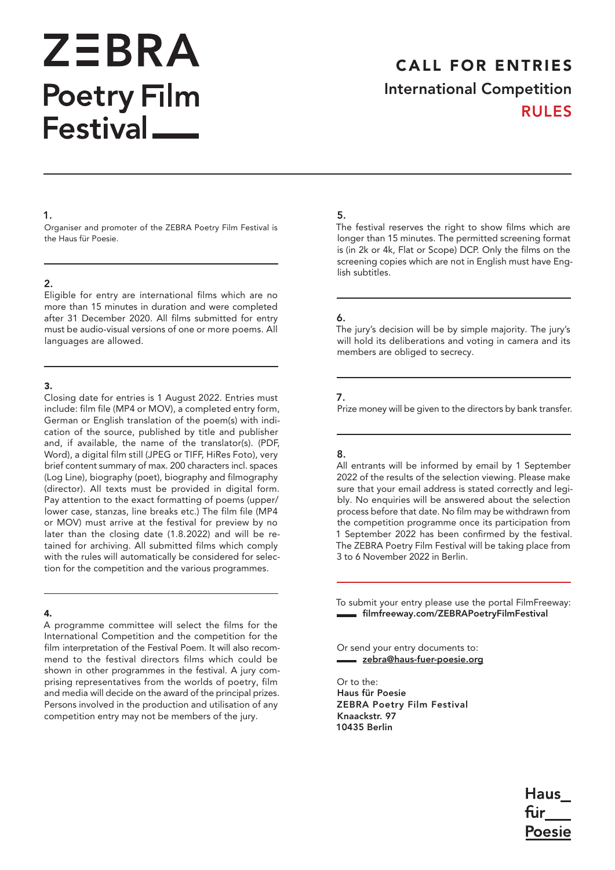# **ZEBRA Poetry Film** Festival<sub>—</sub>

## CALL FOR ENTRIES International Competition RULES

#### 1.

Organiser and promoter of the ZEBRA Poetry Film Festival is the Haus für Poesie.

#### 2.

Eligible for entry are international films which are no more than 15 minutes in duration and were completed after 31 December 2020. All films submitted for entry must be audio-visual versions of one or more poems. All languages are allowed.

#### 3.

Closing date for entries is 1 August 2022. Entries must include: film file (MP4 or MOV), a completed entry form, German or English translation of the poem(s) with indication of the source, published by title and publisher and, if available, the name of the translator(s). (PDF, Word), a digital film still (JPEG or TIFF, HiRes Foto), very brief content summary of max. 200 characters incl. spaces (Log Line), biography (poet), biography and filmography (director). All texts must be provided in digital form. Pay attention to the exact formatting of poems (upper/ lower case, stanzas, line breaks etc.) The film file (MP4 or MOV) must arrive at the festival for preview by no later than the closing date (1.8.2022) and will be retained for archiving. All submitted films which comply with the rules will automatically be considered for selection for the competition and the various programmes.

#### 4.

A programme committee will select the films for the International Competition and the competition for the film interpretation of the Festival Poem. It will also recommend to the festival directors films which could be shown in other programmes in the festival. A jury comprising representatives from the worlds of poetry, film and media will decide on the award of the principal prizes. Persons involved in the production and utilisation of any competition entry may not be members of the jury.

#### 5.

The festival reserves the right to show films which are longer than 15 minutes. The permitted screening format is (in 2k or 4k, Flat or Scope) DCP. Only the films on the screening copies which are not in English must have English subtitles.

#### 6.

The jury's decision will be by simple majority. The jury's will hold its deliberations and voting in camera and its members are obliged to secrecy.

#### 7.

Prize money will be given to the directors by bank transfer.

#### 8.

All entrants will be informed by email by 1 September 2022 of the results of the selection viewing. Please make sure that your email address is stated correctly and legibly. No enquiries will be answered about the selection process before that date. No film may be withdrawn from the competition programme once its participation from 1 September 2022 has been confirmed by the festival. The ZEBRA Poetry Film Festival will be taking place from 3 to 6 November 2022 in Berlin.

To submit your entry please use the portal FilmFreeway: [filmfreeway.com/ZEBRAPoetryFilmFestival](https://filmfreeway.com/ZEBRAPoetryFilmFestival)

Or send your entry documents to: zebra@haus-fuer-poesie.org

Or to the: Haus für Poesie ZEBRA Poetry Film Festival Knaackstr. 97 10435 Berlin

> **Haus** fur Poesie